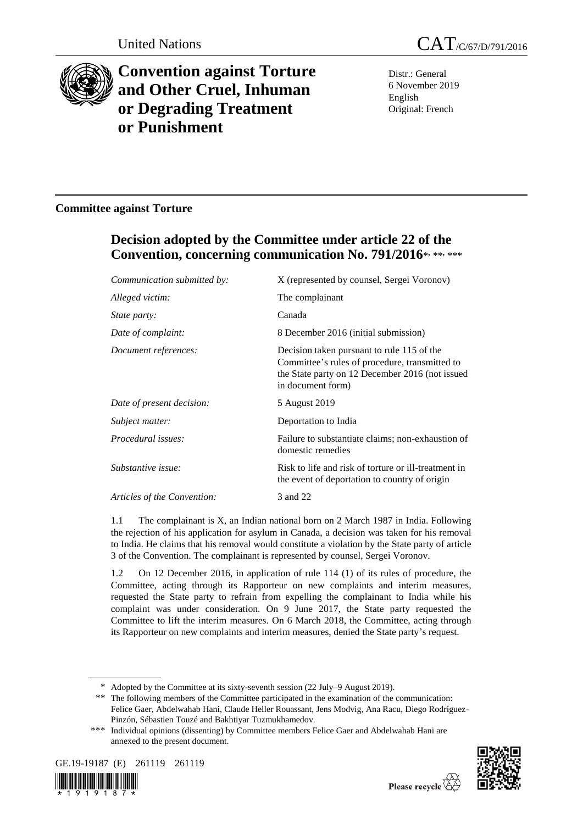

# **Convention against Torture and Other Cruel, Inhuman or Degrading Treatment or Punishment**

Distr.: General 6 November 2019 English Original: French

### **Committee against Torture**

# **Decision adopted by the Committee under article 22 of the**  Convention, concerning communication No. 791/2016\*, \*\*, \*\*\*

| Communication submitted by: | X (represented by counsel, Sergei Voronov)                                                                                                                           |
|-----------------------------|----------------------------------------------------------------------------------------------------------------------------------------------------------------------|
| Alleged victim:             | The complainant                                                                                                                                                      |
| <i>State party:</i>         | Canada                                                                                                                                                               |
| Date of complaint:          | 8 December 2016 (initial submission)                                                                                                                                 |
| Document references:        | Decision taken pursuant to rule 115 of the<br>Committee's rules of procedure, transmitted to<br>the State party on 12 December 2016 (not issued<br>in document form) |
| Date of present decision:   | 5 August 2019                                                                                                                                                        |
| Subject matter:             | Deportation to India                                                                                                                                                 |
| Procedural issues:          | Failure to substantiate claims; non-exhaustion of<br>domestic remedies                                                                                               |
| Substantive issue:          | Risk to life and risk of torture or ill-treatment in<br>the event of deportation to country of origin                                                                |
| Articles of the Convention: | 3 and 22                                                                                                                                                             |
|                             |                                                                                                                                                                      |

1.1 The complainant is X, an Indian national born on 2 March 1987 in India. Following the rejection of his application for asylum in Canada, a decision was taken for his removal to India. He claims that his removal would constitute a violation by the State party of article 3 of the Convention. The complainant is represented by counsel, Sergei Voronov.

1.2 On 12 December 2016, in application of rule 114 (1) of its rules of procedure, the Committee, acting through its Rapporteur on new complaints and interim measures, requested the State party to refrain from expelling the complainant to India while his complaint was under consideration. On 9 June 2017, the State party requested the Committee to lift the interim measures. On 6 March 2018, the Committee, acting through its Rapporteur on new complaints and interim measures, denied the State party's request.

<sup>\*\*\*</sup> Individual opinions (dissenting) by Committee members Felice Gaer and Abdelwahab Hani are annexed to the present document.





<sup>\*</sup> Adopted by the Committee at its sixty-seventh session (22 July–9 August 2019).

<sup>\*\*</sup> The following members of the Committee participated in the examination of the communication: Felice Gaer, Abdelwahab Hani, Claude Heller Rouassant, Jens Modvig, Ana Racu, Diego Rodríguez-Pinzón, Sébastien Touzé and Bakhtiyar Tuzmukhamedov.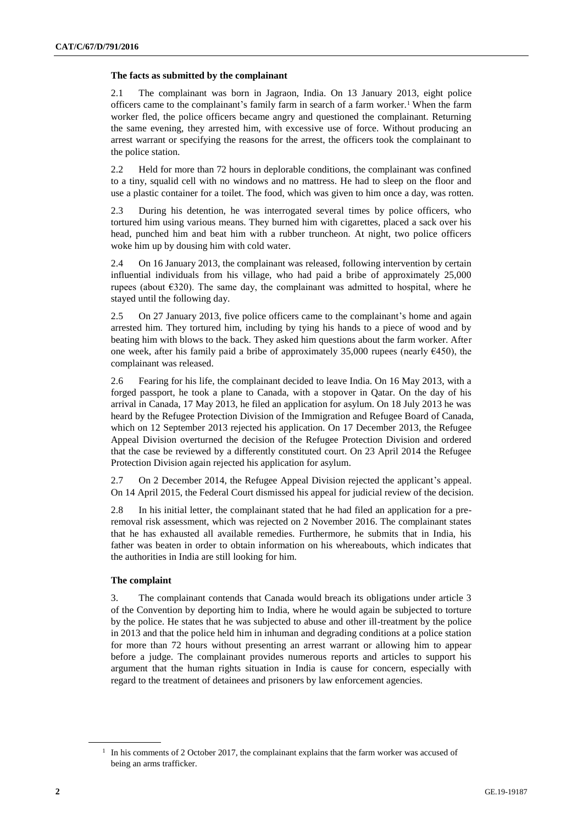#### **The facts as submitted by the complainant**

2.1 The complainant was born in Jagraon, India. On 13 January 2013, eight police officers came to the complainant's family farm in search of a farm worker.<sup>1</sup> When the farm worker fled, the police officers became angry and questioned the complainant. Returning the same evening, they arrested him, with excessive use of force. Without producing an arrest warrant or specifying the reasons for the arrest, the officers took the complainant to the police station.

2.2 Held for more than 72 hours in deplorable conditions, the complainant was confined to a tiny, squalid cell with no windows and no mattress. He had to sleep on the floor and use a plastic container for a toilet. The food, which was given to him once a day, was rotten.

2.3 During his detention, he was interrogated several times by police officers, who tortured him using various means. They burned him with cigarettes, placed a sack over his head, punched him and beat him with a rubber truncheon. At night, two police officers woke him up by dousing him with cold water.

2.4 On 16 January 2013, the complainant was released, following intervention by certain influential individuals from his village, who had paid a bribe of approximately 25,000 rupees (about €320). The same day, the complainant was admitted to hospital, where he stayed until the following day.

2.5 On 27 January 2013, five police officers came to the complainant's home and again arrested him. They tortured him, including by tying his hands to a piece of wood and by beating him with blows to the back. They asked him questions about the farm worker. After one week, after his family paid a bribe of approximately 35,000 rupees (nearly  $6450$ ), the complainant was released.

2.6 Fearing for his life, the complainant decided to leave India. On 16 May 2013, with a forged passport, he took a plane to Canada, with a stopover in Qatar. On the day of his arrival in Canada, 17 May 2013, he filed an application for asylum. On 18 July 2013 he was heard by the Refugee Protection Division of the Immigration and Refugee Board of Canada, which on 12 September 2013 rejected his application. On 17 December 2013, the Refugee Appeal Division overturned the decision of the Refugee Protection Division and ordered that the case be reviewed by a differently constituted court. On 23 April 2014 the Refugee Protection Division again rejected his application for asylum.

2.7 On 2 December 2014, the Refugee Appeal Division rejected the applicant's appeal. On 14 April 2015, the Federal Court dismissed his appeal for judicial review of the decision.

2.8 In his initial letter, the complainant stated that he had filed an application for a preremoval risk assessment, which was rejected on 2 November 2016. The complainant states that he has exhausted all available remedies. Furthermore, he submits that in India, his father was beaten in order to obtain information on his whereabouts, which indicates that the authorities in India are still looking for him.

#### **The complaint**

3. The complainant contends that Canada would breach its obligations under article 3 of the Convention by deporting him to India, where he would again be subjected to torture by the police. He states that he was subjected to abuse and other ill-treatment by the police in 2013 and that the police held him in inhuman and degrading conditions at a police station for more than 72 hours without presenting an arrest warrant or allowing him to appear before a judge. The complainant provides numerous reports and articles to support his argument that the human rights situation in India is cause for concern, especially with regard to the treatment of detainees and prisoners by law enforcement agencies.

<sup>&</sup>lt;sup>1</sup> In his comments of 2 October 2017, the complainant explains that the farm worker was accused of being an arms trafficker.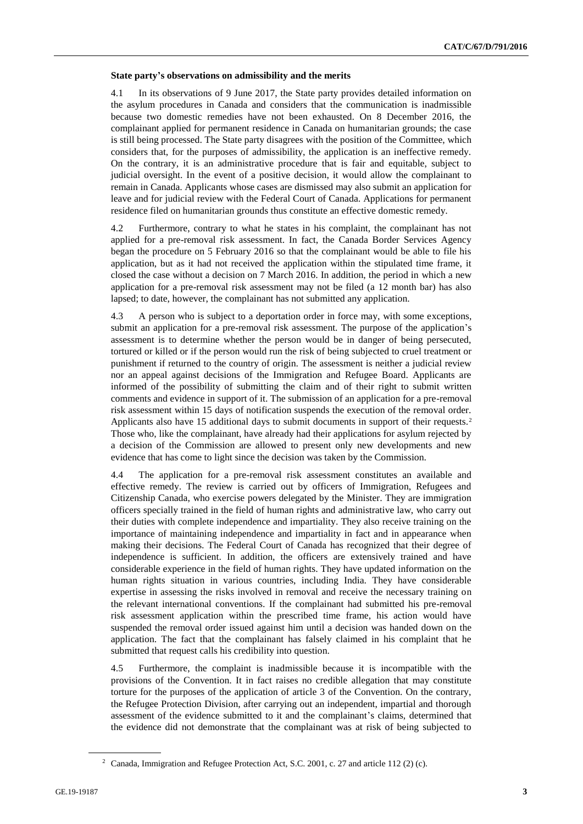#### **State party's observations on admissibility and the merits**

4.1 In its observations of 9 June 2017, the State party provides detailed information on the asylum procedures in Canada and considers that the communication is inadmissible because two domestic remedies have not been exhausted. On 8 December 2016, the complainant applied for permanent residence in Canada on humanitarian grounds; the case is still being processed. The State party disagrees with the position of the Committee, which considers that, for the purposes of admissibility, the application is an ineffective remedy. On the contrary, it is an administrative procedure that is fair and equitable, subject to judicial oversight. In the event of a positive decision, it would allow the complainant to remain in Canada. Applicants whose cases are dismissed may also submit an application for leave and for judicial review with the Federal Court of Canada. Applications for permanent residence filed on humanitarian grounds thus constitute an effective domestic remedy.

4.2 Furthermore, contrary to what he states in his complaint, the complainant has not applied for a pre-removal risk assessment. In fact, the Canada Border Services Agency began the procedure on 5 February 2016 so that the complainant would be able to file his application, but as it had not received the application within the stipulated time frame, it closed the case without a decision on 7 March 2016. In addition, the period in which a new application for a pre-removal risk assessment may not be filed (a 12 month bar) has also lapsed; to date, however, the complainant has not submitted any application.

4.3 A person who is subject to a deportation order in force may, with some exceptions, submit an application for a pre-removal risk assessment. The purpose of the application's assessment is to determine whether the person would be in danger of being persecuted, tortured or killed or if the person would run the risk of being subjected to cruel treatment or punishment if returned to the country of origin. The assessment is neither a judicial review nor an appeal against decisions of the Immigration and Refugee Board. Applicants are informed of the possibility of submitting the claim and of their right to submit written comments and evidence in support of it. The submission of an application for a pre-removal risk assessment within 15 days of notification suspends the execution of the removal order. Applicants also have 15 additional days to submit documents in support of their requests.<sup>2</sup> Those who, like the complainant, have already had their applications for asylum rejected by a decision of the Commission are allowed to present only new developments and new evidence that has come to light since the decision was taken by the Commission.

4.4 The application for a pre-removal risk assessment constitutes an available and effective remedy. The review is carried out by officers of Immigration, Refugees and Citizenship Canada, who exercise powers delegated by the Minister. They are immigration officers specially trained in the field of human rights and administrative law, who carry out their duties with complete independence and impartiality. They also receive training on the importance of maintaining independence and impartiality in fact and in appearance when making their decisions. The Federal Court of Canada has recognized that their degree of independence is sufficient. In addition, the officers are extensively trained and have considerable experience in the field of human rights. They have updated information on the human rights situation in various countries, including India. They have considerable expertise in assessing the risks involved in removal and receive the necessary training on the relevant international conventions. If the complainant had submitted his pre-removal risk assessment application within the prescribed time frame, his action would have suspended the removal order issued against him until a decision was handed down on the application. The fact that the complainant has falsely claimed in his complaint that he submitted that request calls his credibility into question.

4.5 Furthermore, the complaint is inadmissible because it is incompatible with the provisions of the Convention. It in fact raises no credible allegation that may constitute torture for the purposes of the application of article 3 of the Convention. On the contrary, the Refugee Protection Division, after carrying out an independent, impartial and thorough assessment of the evidence submitted to it and the complainant's claims, determined that the evidence did not demonstrate that the complainant was at risk of being subjected to

<sup>2</sup> Canada, Immigration and Refugee Protection Act, S.C. 2001, c. 27 and article 112 (2) (c).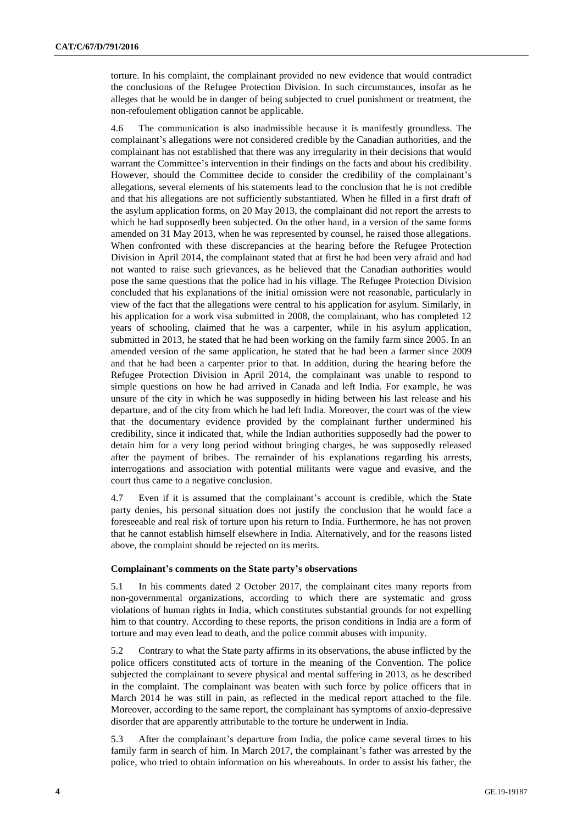torture. In his complaint, the complainant provided no new evidence that would contradict the conclusions of the Refugee Protection Division. In such circumstances, insofar as he alleges that he would be in danger of being subjected to cruel punishment or treatment, the non-refoulement obligation cannot be applicable.

4.6 The communication is also inadmissible because it is manifestly groundless. The complainant's allegations were not considered credible by the Canadian authorities, and the complainant has not established that there was any irregularity in their decisions that would warrant the Committee's intervention in their findings on the facts and about his credibility. However, should the Committee decide to consider the credibility of the complainant's allegations, several elements of his statements lead to the conclusion that he is not credible and that his allegations are not sufficiently substantiated. When he filled in a first draft of the asylum application forms, on 20 May 2013, the complainant did not report the arrests to which he had supposedly been subjected. On the other hand, in a version of the same forms amended on 31 May 2013, when he was represented by counsel, he raised those allegations. When confronted with these discrepancies at the hearing before the Refugee Protection Division in April 2014, the complainant stated that at first he had been very afraid and had not wanted to raise such grievances, as he believed that the Canadian authorities would pose the same questions that the police had in his village. The Refugee Protection Division concluded that his explanations of the initial omission were not reasonable, particularly in view of the fact that the allegations were central to his application for asylum. Similarly, in his application for a work visa submitted in 2008, the complainant, who has completed 12 years of schooling, claimed that he was a carpenter, while in his asylum application, submitted in 2013, he stated that he had been working on the family farm since 2005. In an amended version of the same application, he stated that he had been a farmer since 2009 and that he had been a carpenter prior to that. In addition, during the hearing before the Refugee Protection Division in April 2014, the complainant was unable to respond to simple questions on how he had arrived in Canada and left India. For example, he was unsure of the city in which he was supposedly in hiding between his last release and his departure, and of the city from which he had left India. Moreover, the court was of the view that the documentary evidence provided by the complainant further undermined his credibility, since it indicated that, while the Indian authorities supposedly had the power to detain him for a very long period without bringing charges, he was supposedly released after the payment of bribes. The remainder of his explanations regarding his arrests, interrogations and association with potential militants were vague and evasive, and the court thus came to a negative conclusion.

4.7 Even if it is assumed that the complainant's account is credible, which the State party denies, his personal situation does not justify the conclusion that he would face a foreseeable and real risk of torture upon his return to India. Furthermore, he has not proven that he cannot establish himself elsewhere in India. Alternatively, and for the reasons listed above, the complaint should be rejected on its merits.

#### **Complainant's comments on the State party's observations**

5.1 In his comments dated 2 October 2017, the complainant cites many reports from non-governmental organizations, according to which there are systematic and gross violations of human rights in India, which constitutes substantial grounds for not expelling him to that country. According to these reports, the prison conditions in India are a form of torture and may even lead to death, and the police commit abuses with impunity.

5.2 Contrary to what the State party affirms in its observations, the abuse inflicted by the police officers constituted acts of torture in the meaning of the Convention. The police subjected the complainant to severe physical and mental suffering in 2013, as he described in the complaint. The complainant was beaten with such force by police officers that in March 2014 he was still in pain, as reflected in the medical report attached to the file. Moreover, according to the same report, the complainant has symptoms of anxio-depressive disorder that are apparently attributable to the torture he underwent in India.

5.3 After the complainant's departure from India, the police came several times to his family farm in search of him. In March 2017, the complainant's father was arrested by the police, who tried to obtain information on his whereabouts. In order to assist his father, the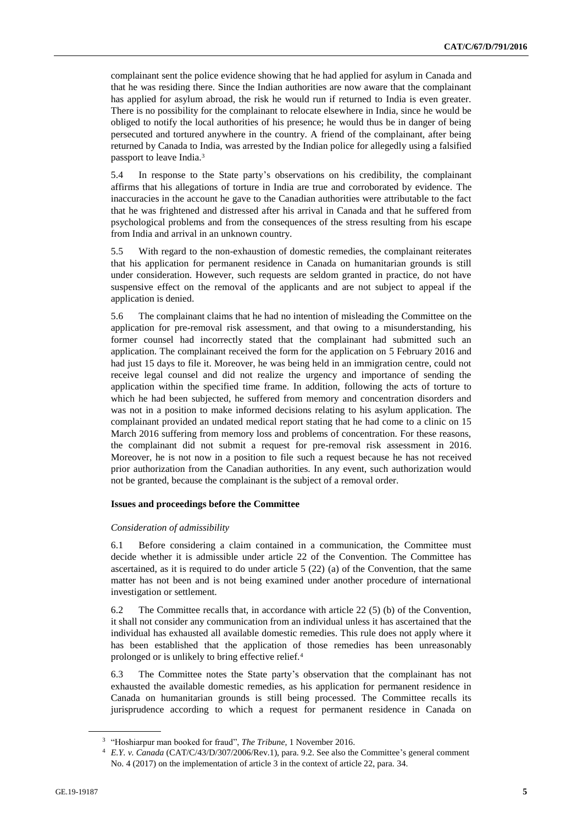complainant sent the police evidence showing that he had applied for asylum in Canada and that he was residing there. Since the Indian authorities are now aware that the complainant has applied for asylum abroad, the risk he would run if returned to India is even greater. There is no possibility for the complainant to relocate elsewhere in India, since he would be obliged to notify the local authorities of his presence; he would thus be in danger of being persecuted and tortured anywhere in the country. A friend of the complainant, after being returned by Canada to India, was arrested by the Indian police for allegedly using a falsified passport to leave India.<sup>3</sup>

5.4 In response to the State party's observations on his credibility, the complainant affirms that his allegations of torture in India are true and corroborated by evidence. The inaccuracies in the account he gave to the Canadian authorities were attributable to the fact that he was frightened and distressed after his arrival in Canada and that he suffered from psychological problems and from the consequences of the stress resulting from his escape from India and arrival in an unknown country.

5.5 With regard to the non-exhaustion of domestic remedies, the complainant reiterates that his application for permanent residence in Canada on humanitarian grounds is still under consideration. However, such requests are seldom granted in practice, do not have suspensive effect on the removal of the applicants and are not subject to appeal if the application is denied.

5.6 The complainant claims that he had no intention of misleading the Committee on the application for pre-removal risk assessment, and that owing to a misunderstanding, his former counsel had incorrectly stated that the complainant had submitted such an application. The complainant received the form for the application on 5 February 2016 and had just 15 days to file it. Moreover, he was being held in an immigration centre, could not receive legal counsel and did not realize the urgency and importance of sending the application within the specified time frame. In addition, following the acts of torture to which he had been subjected, he suffered from memory and concentration disorders and was not in a position to make informed decisions relating to his asylum application. The complainant provided an undated medical report stating that he had come to a clinic on 15 March 2016 suffering from memory loss and problems of concentration. For these reasons, the complainant did not submit a request for pre-removal risk assessment in 2016. Moreover, he is not now in a position to file such a request because he has not received prior authorization from the Canadian authorities. In any event, such authorization would not be granted, because the complainant is the subject of a removal order.

#### **Issues and proceedings before the Committee**

#### *Consideration of admissibility*

6.1 Before considering a claim contained in a communication, the Committee must decide whether it is admissible under article 22 of the Convention. The Committee has ascertained, as it is required to do under article 5 (22) (a) of the Convention, that the same matter has not been and is not being examined under another procedure of international investigation or settlement.

6.2 The Committee recalls that, in accordance with article 22 (5) (b) of the Convention, it shall not consider any communication from an individual unless it has ascertained that the individual has exhausted all available domestic remedies. This rule does not apply where it has been established that the application of those remedies has been unreasonably prolonged or is unlikely to bring effective relief.<sup>4</sup>

6.3 The Committee notes the State party's observation that the complainant has not exhausted the available domestic remedies, as his application for permanent residence in Canada on humanitarian grounds is still being processed. The Committee recalls its jurisprudence according to which a request for permanent residence in Canada on

<sup>&</sup>lt;sup>3</sup> "Hoshiarpur man booked for fraud", *The Tribune*, 1 November 2016.

<sup>4</sup> *E.Y. v. Canada* (CAT/C/43/D/307/2006/Rev.1), para. 9.2. See also the Committee's general comment No. 4 (2017) on the implementation of article 3 in the context of article 22, para. 34.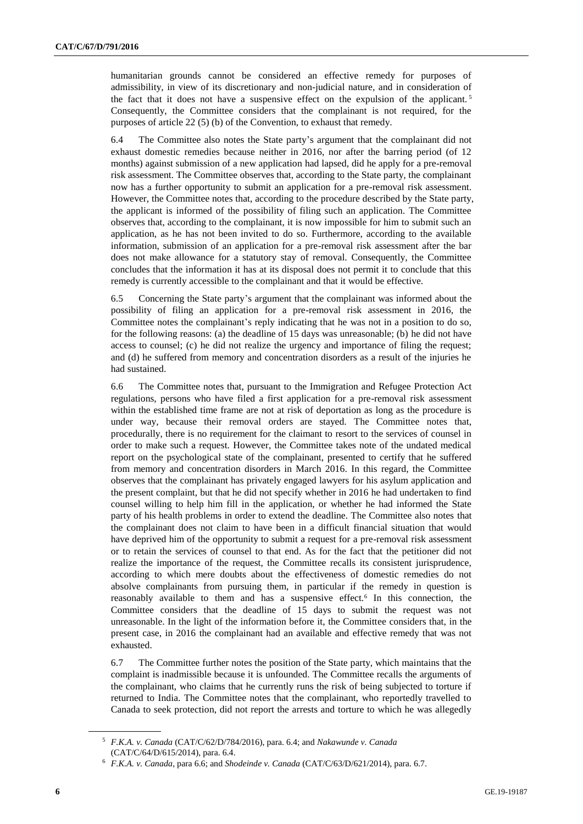humanitarian grounds cannot be considered an effective remedy for purposes of admissibility, in view of its discretionary and non-judicial nature, and in consideration of the fact that it does not have a suspensive effect on the expulsion of the applicant.<sup>5</sup> Consequently, the Committee considers that the complainant is not required, for the purposes of article 22 (5) (b) of the Convention, to exhaust that remedy.

6.4 The Committee also notes the State party's argument that the complainant did not exhaust domestic remedies because neither in 2016, nor after the barring period (of 12 months) against submission of a new application had lapsed, did he apply for a pre-removal risk assessment. The Committee observes that, according to the State party, the complainant now has a further opportunity to submit an application for a pre-removal risk assessment. However, the Committee notes that, according to the procedure described by the State party, the applicant is informed of the possibility of filing such an application. The Committee observes that, according to the complainant, it is now impossible for him to submit such an application, as he has not been invited to do so. Furthermore, according to the available information, submission of an application for a pre-removal risk assessment after the bar does not make allowance for a statutory stay of removal. Consequently, the Committee concludes that the information it has at its disposal does not permit it to conclude that this remedy is currently accessible to the complainant and that it would be effective.

6.5 Concerning the State party's argument that the complainant was informed about the possibility of filing an application for a pre-removal risk assessment in 2016, the Committee notes the complainant's reply indicating that he was not in a position to do so, for the following reasons: (a) the deadline of 15 days was unreasonable; (b) he did not have access to counsel; (c) he did not realize the urgency and importance of filing the request; and (d) he suffered from memory and concentration disorders as a result of the injuries he had sustained.

6.6 The Committee notes that, pursuant to the Immigration and Refugee Protection Act regulations, persons who have filed a first application for a pre-removal risk assessment within the established time frame are not at risk of deportation as long as the procedure is under way, because their removal orders are stayed. The Committee notes that, procedurally, there is no requirement for the claimant to resort to the services of counsel in order to make such a request. However, the Committee takes note of the undated medical report on the psychological state of the complainant, presented to certify that he suffered from memory and concentration disorders in March 2016. In this regard, the Committee observes that the complainant has privately engaged lawyers for his asylum application and the present complaint, but that he did not specify whether in 2016 he had undertaken to find counsel willing to help him fill in the application, or whether he had informed the State party of his health problems in order to extend the deadline. The Committee also notes that the complainant does not claim to have been in a difficult financial situation that would have deprived him of the opportunity to submit a request for a pre-removal risk assessment or to retain the services of counsel to that end. As for the fact that the petitioner did not realize the importance of the request, the Committee recalls its consistent jurisprudence, according to which mere doubts about the effectiveness of domestic remedies do not absolve complainants from pursuing them, in particular if the remedy in question is reasonably available to them and has a suspensive effect.<sup>6</sup> In this connection, the Committee considers that the deadline of 15 days to submit the request was not unreasonable. In the light of the information before it, the Committee considers that, in the present case, in 2016 the complainant had an available and effective remedy that was not exhausted.

6.7 The Committee further notes the position of the State party, which maintains that the complaint is inadmissible because it is unfounded. The Committee recalls the arguments of the complainant, who claims that he currently runs the risk of being subjected to torture if returned to India. The Committee notes that the complainant, who reportedly travelled to Canada to seek protection, did not report the arrests and torture to which he was allegedly

<sup>5</sup> *F.K.A. v. Canada* (CAT/C/62/D/784/2016), para. 6.4; and *Nakawunde v. Canada* (CAT/C/64/D/615/2014), para. 6.4.

<sup>6</sup> *F.K.A. v. Canada*, para 6.6; and *Shodeinde v. Canada* (CAT/C/63/D/621/2014), para. 6.7.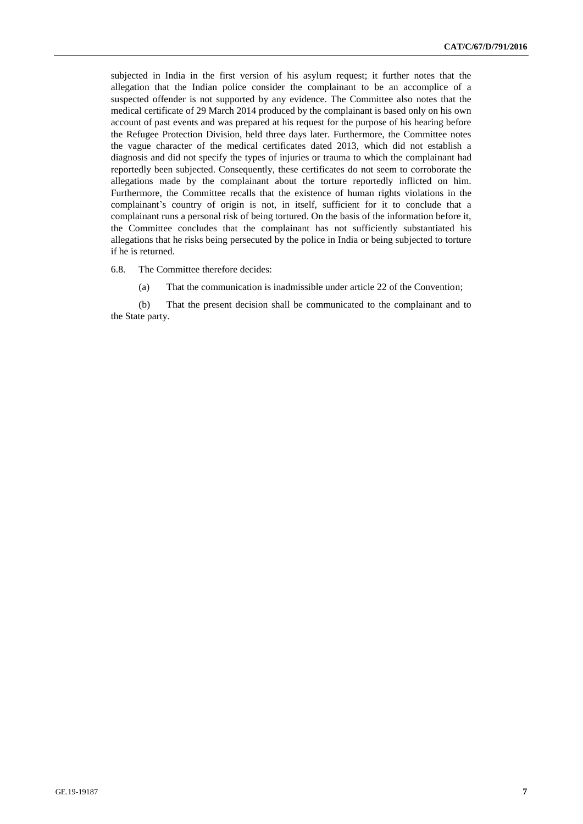subjected in India in the first version of his asylum request; it further notes that the allegation that the Indian police consider the complainant to be an accomplice of a suspected offender is not supported by any evidence. The Committee also notes that the medical certificate of 29 March 2014 produced by the complainant is based only on his own account of past events and was prepared at his request for the purpose of his hearing before the Refugee Protection Division, held three days later. Furthermore, the Committee notes the vague character of the medical certificates dated 2013, which did not establish a diagnosis and did not specify the types of injuries or trauma to which the complainant had reportedly been subjected. Consequently, these certificates do not seem to corroborate the allegations made by the complainant about the torture reportedly inflicted on him. Furthermore, the Committee recalls that the existence of human rights violations in the complainant's country of origin is not, in itself, sufficient for it to conclude that a complainant runs a personal risk of being tortured. On the basis of the information before it, the Committee concludes that the complainant has not sufficiently substantiated his allegations that he risks being persecuted by the police in India or being subjected to torture if he is returned.

6.8. The Committee therefore decides:

(a) That the communication is inadmissible under article 22 of the Convention;

(b) That the present decision shall be communicated to the complainant and to the State party.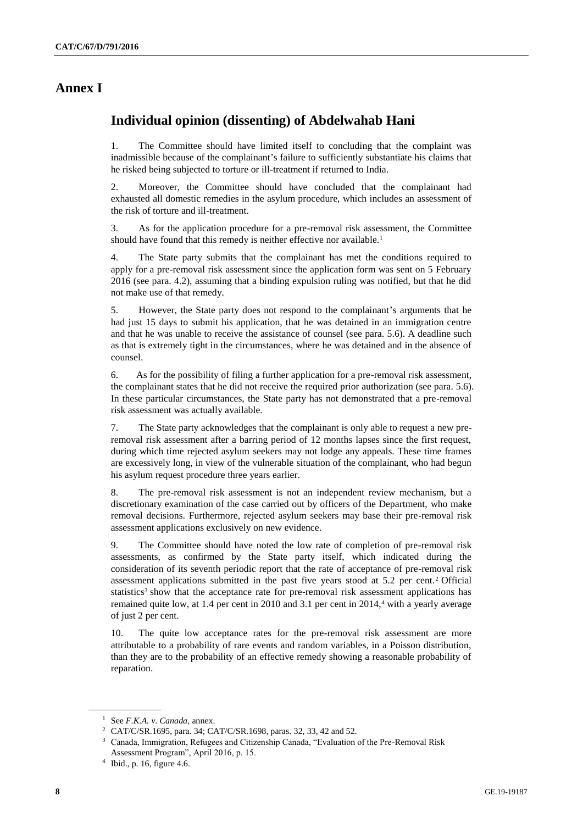### **Annex I**

## **Individual opinion (dissenting) of Abdelwahab Hani**

1. The Committee should have limited itself to concluding that the complaint was inadmissible because of the complainant's failure to sufficiently substantiate his claims that he risked being subjected to torture or ill-treatment if returned to India.

2. Moreover, the Committee should have concluded that the complainant had exhausted all domestic remedies in the asylum procedure, which includes an assessment of the risk of torture and ill-treatment.

3. As for the application procedure for a pre-removal risk assessment, the Committee should have found that this remedy is neither effective nor available.<sup>1</sup>

4. The State party submits that the complainant has met the conditions required to apply for a pre-removal risk assessment since the application form was sent on 5 February 2016 (see para. 4.2), assuming that a binding expulsion ruling was notified, but that he did not make use of that remedy.

5. However, the State party does not respond to the complainant's arguments that he had just 15 days to submit his application, that he was detained in an immigration centre and that he was unable to receive the assistance of counsel (see para. 5.6). A deadline such as that is extremely tight in the circumstances, where he was detained and in the absence of counsel.

6. As for the possibility of filing a further application for a pre-removal risk assessment, the complainant states that he did not receive the required prior authorization (see para. 5.6). In these particular circumstances, the State party has not demonstrated that a pre-removal risk assessment was actually available.

7. The State party acknowledges that the complainant is only able to request a new preremoval risk assessment after a barring period of 12 months lapses since the first request, during which time rejected asylum seekers may not lodge any appeals. These time frames are excessively long, in view of the vulnerable situation of the complainant, who had begun his asylum request procedure three years earlier.

8. The pre-removal risk assessment is not an independent review mechanism, but a discretionary examination of the case carried out by officers of the Department, who make removal decisions. Furthermore, rejected asylum seekers may base their pre-removal risk assessment applications exclusively on new evidence.

9. The Committee should have noted the low rate of completion of pre-removal risk assessments, as confirmed by the State party itself, which indicated during the consideration of its seventh periodic report that the rate of acceptance of pre-removal risk assessment applications submitted in the past five years stood at 5.2 per cent. <sup>2</sup> Official statistics<sup>3</sup> show that the acceptance rate for pre-removal risk assessment applications has remained quite low, at  $1.4$  per cent in  $2010$  and  $3.1$  per cent in  $2014<sup>4</sup>$  with a yearly average of just 2 per cent.

10. The quite low acceptance rates for the pre-removal risk assessment are more attributable to a probability of rare events and random variables, in a Poisson distribution, than they are to the probability of an effective remedy showing a reasonable probability of reparation.

<sup>1</sup> See *F.K.A. v. Canada*, annex.

<sup>2</sup> CAT/C/SR.1695, para. 34; CAT/C/SR.1698, paras. 32, 33, 42 and 52.

<sup>3</sup> Canada, Immigration, Refugees and Citizenship Canada, "Evaluation of the Pre-Removal Risk Assessment Program", April 2016, p. 15.

<sup>4</sup> Ibid., p. 16, figure 4.6.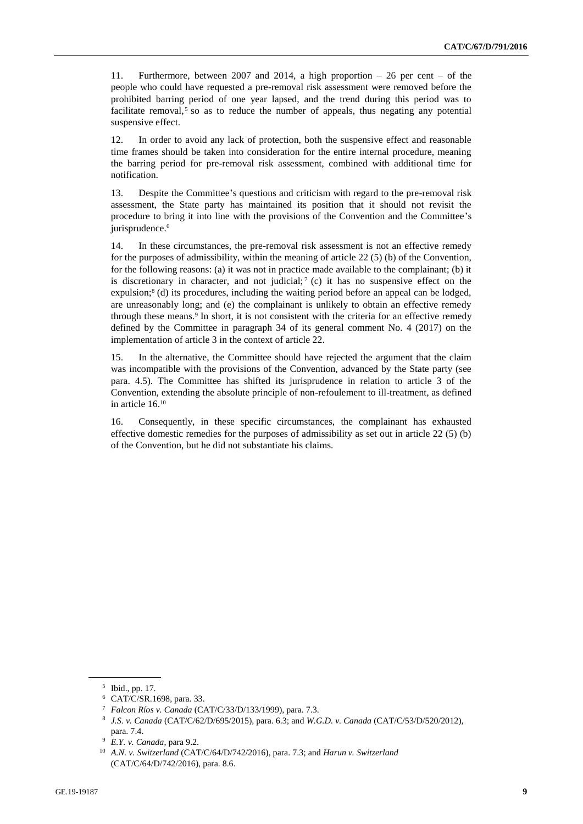11. Furthermore, between 2007 and 2014, a high proportion – 26 per cent – of the people who could have requested a pre-removal risk assessment were removed before the prohibited barring period of one year lapsed, and the trend during this period was to facilitate removal, $5$  so as to reduce the number of appeals, thus negating any potential suspensive effect.

12. In order to avoid any lack of protection, both the suspensive effect and reasonable time frames should be taken into consideration for the entire internal procedure, meaning the barring period for pre-removal risk assessment, combined with additional time for notification.

13. Despite the Committee's questions and criticism with regard to the pre-removal risk assessment, the State party has maintained its position that it should not revisit the procedure to bring it into line with the provisions of the Convention and the Committee's jurisprudence.<sup>6</sup>

14. In these circumstances, the pre-removal risk assessment is not an effective remedy for the purposes of admissibility, within the meaning of article 22 (5) (b) of the Convention, for the following reasons: (a) it was not in practice made available to the complainant; (b) it is discretionary in character, and not judicial;  $\gamma$  (c) it has no suspensive effect on the expulsion;<sup>8</sup> (d) its procedures, including the waiting period before an appeal can be lodged, are unreasonably long; and (e) the complainant is unlikely to obtain an effective remedy through these means.<sup>9</sup> In short, it is not consistent with the criteria for an effective remedy defined by the Committee in paragraph 34 of its general comment No. 4 (2017) on the implementation of article 3 in the context of article 22.

15. In the alternative, the Committee should have rejected the argument that the claim was incompatible with the provisions of the Convention, advanced by the State party (see para. 4.5). The Committee has shifted its jurisprudence in relation to article 3 of the Convention, extending the absolute principle of non-refoulement to ill-treatment, as defined in article 16.<sup>10</sup>

16. Consequently, in these specific circumstances, the complainant has exhausted effective domestic remedies for the purposes of admissibility as set out in article 22 (5) (b) of the Convention, but he did not substantiate his claims.

<sup>5</sup> Ibid., pp. 17.

<sup>6</sup> CAT/C/SR.1698, para. 33.

<sup>7</sup> *Falcon Ríos v. Canada* (CAT/C/33/D/133/1999), para. 7.3.

<sup>8</sup> *J.S. v. Canada* (CAT/C/62/D/695/2015), para. 6.3; and *W.G.D. v. Canada* (CAT/C/53/D/520/2012), para. 7.4.

<sup>9</sup> *E.Y. v. Canada*, para 9.2.

<sup>10</sup> *A.N. v. Switzerland* (CAT/C/64/D/742/2016), para. 7.3; and *Harun v. Switzerland*  (CAT/C/64/D/742/2016), para. 8.6.